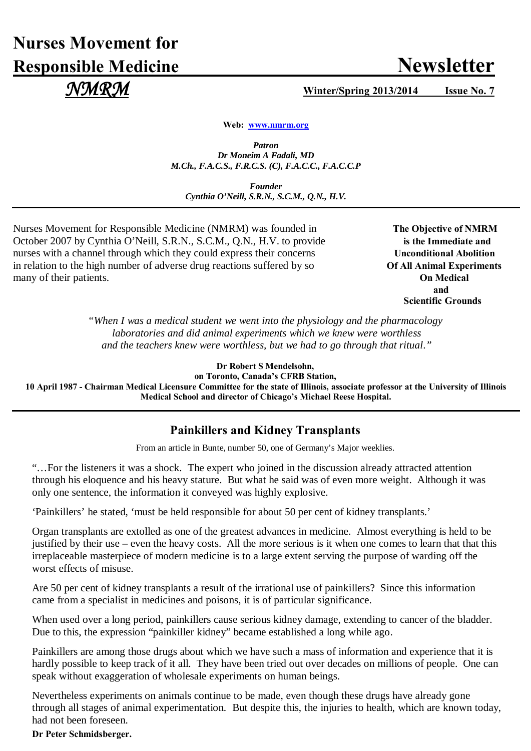# **Nurses Movement for Responsible Medicine Newsletter**

 $\mathcal{NMRM}$  *Winter/Spring 2013/2014* Issue No. 7

**Web: [www.nmrm.org](http://www.nmrm.org/)**

*Patron Dr Moneim A Fadali, MD M.Ch., F.A.C.S., F.R.C.S. (C), F.A.C.C., F.A.C.C.P*

*Founder Cynthia O'Neill, S.R.N., S.C.M., Q.N., H.V.*

Nurses Movement for Responsible Medicine (NMRM) was founded in The Objective of NMRM October 2007 by Cynthia O'Neill, S.R.N., S.C.M., Q.N., H.V. to provide **is the Immediate and** nurses with a channel through which they could express their concerns **Unconditional Abolition** in relation to the high number of adverse drug reactions suffered by so **Of All Animal Experiments** many of their patients. **On Medical**

 **and**  **Scientific Grounds**

> *"When I was a medical student we went into the physiology and the pharmacology laboratories and did animal experiments which we knew were worthless and the teachers knew were worthless, but we had to go through that ritual*.*"*

> > **Dr Robert S Mendelsohn,**

**on Toronto, Canada's CFRB Station, 10 April 1987 - Chairman Medical Licensure Committee for the state of Illinois, associate professor at the University of Illinois Medical School and director of Chicago's Michael Reese Hospital.**

### **Painkillers and Kidney Transplants**

From an article in Bunte, number 50, one of Germany's Major weeklies.

"…For the listeners it was a shock. The expert who joined in the discussion already attracted attention through his eloquence and his heavy stature. But what he said was of even more weight. Although it was only one sentence, the information it conveyed was highly explosive.

'Painkillers' he stated, 'must be held responsible for about 50 per cent of kidney transplants.'

Organ transplants are extolled as one of the greatest advances in medicine. Almost everything is held to be justified by their use – even the heavy costs. All the more serious is it when one comes to learn that that this irreplaceable masterpiece of modern medicine is to a large extent serving the purpose of warding off the worst effects of misuse.

Are 50 per cent of kidney transplants a result of the irrational use of painkillers? Since this information came from a specialist in medicines and poisons, it is of particular significance.

When used over a long period, painkillers cause serious kidney damage, extending to cancer of the bladder. Due to this, the expression "painkiller kidney" became established a long while ago.

Painkillers are among those drugs about which we have such a mass of information and experience that it is hardly possible to keep track of it all. They have been tried out over decades on millions of people. One can speak without exaggeration of wholesale experiments on human beings.

Nevertheless experiments on animals continue to be made, even though these drugs have already gone through all stages of animal experimentation. But despite this, the injuries to health, which are known today, had not been foreseen.

**Dr Peter Schmidsberger.**